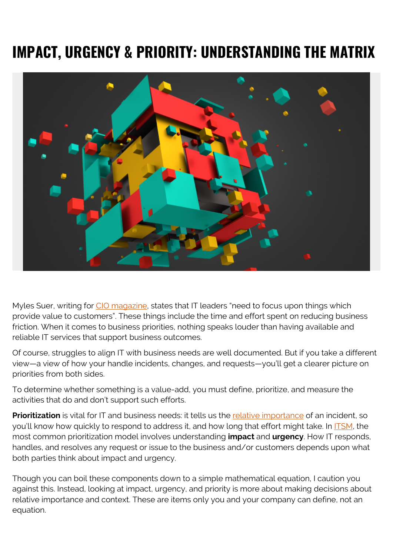# **IMPACT, URGENCY & PRIORITY: UNDERSTANDING THE MATRIX**



Myles Suer, writing for [CIO magazine,](https://www.cio.com/article/3329741/top-priorities-for-cios-in-2019.html) states that IT leaders "need to focus upon things which provide value to customers". These things include the time and effort spent on reducing business friction. When it comes to business priorities, nothing speaks louder than having available and reliable IT services that support business outcomes.

Of course, struggles to align IT with business needs are well documented. But if you take a different view—a view of how your handle incidents, changes, and requests—you'll get a clearer picture on priorities from both sides.

To determine whether something is a value-add, you must define, prioritize, and measure the activities that do and don't support such efforts.

**Prioritization** is vital for IT and business needs: it tells us the [relative importance](https://web.archive.org/web/20200923172131/https://support.atlassian.com/jira-service-desk-cloud/docs/how-impact-and-urgency-is-used-to-calculate-the-priority-of-an-incident/) of an incident, so you'll know how quickly to respond to address it, and how long that effort might take. In **ITSM**, the most common prioritization model involves understanding **impact** and **urgency**. How IT responds, handles, and resolves any request or issue to the business and/or customers depends upon what both parties think about impact and urgency.

Though you can boil these components down to a simple mathematical equation, I caution you against this. Instead, looking at impact, urgency, and priority is more about making decisions about relative importance and context. These are items only you and your company can define, not an equation.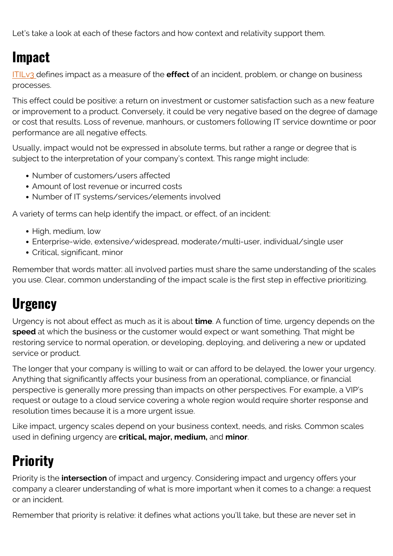Let's take a look at each of these factors and how context and relativity support them.

### **Impact**

[ITILv3 d](https://blogs.bmc.com/blogs/itil-v3-foundation-study-guide/)efines impact as a measure of the **effect** of an incident, problem, or change on business processes.

This effect could be positive: a return on investment or customer satisfaction such as a new feature or improvement to a product. Conversely, it could be very negative based on the degree of damage or cost that results. Loss of revenue, manhours, or customers following IT service downtime or poor performance are all negative effects.

Usually, impact would not be expressed in absolute terms, but rather a range or degree that is subject to the interpretation of your company's context. This range might include:

- Number of customers/users affected
- Amount of lost revenue or incurred costs
- Number of IT systems/services/elements involved

A variety of terms can help identify the impact, or effect, of an incident:

- High, medium, low
- Enterprise-wide, extensive/widespread, moderate/multi-user, individual/single user
- Critical, significant, minor

Remember that words matter: all involved parties must share the same understanding of the scales you use. Clear, common understanding of the impact scale is the first step in effective prioritizing.

#### **Urgency**

Urgency is not about effect as much as it is about **time**. A function of time, urgency depends on the **speed** at which the business or the customer would expect or want something. That might be restoring service to normal operation, or developing, deploying, and delivering a new or updated service or product.

The longer that your company is willing to wait or can afford to be delayed, the lower your urgency. Anything that significantly affects your business from an operational, compliance, or financial perspective is generally more pressing than impacts on other perspectives. For example, a VIP's request or outage to a cloud service covering a whole region would require shorter response and resolution times because it is a more urgent issue.

Like impact, urgency scales depend on your business context, needs, and risks. Common scales used in defining urgency are **critical, major, medium,** and **minor**.

### **Priority**

Priority is the **intersection** of impact and urgency. Considering impact and urgency offers your company a clearer understanding of what is more important when it comes to a change: a request or an incident.

Remember that priority is relative: it defines what actions you'll take, but these are never set in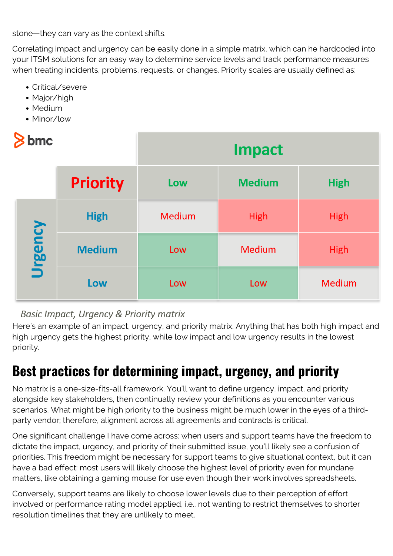stone—they can vary as the context shifts.

Correlating impact and urgency can be easily done in a simple matrix, which can he hardcoded into your ITSM solutions for an easy way to determine service levels and track performance measures when treating incidents, problems, requests, or changes. Priority scales are usually defined as:

- Critical/severe
- Major/high
- Medium
- Minor/low

| bmc     |                 | <b>Impact</b> |               |               |
|---------|-----------------|---------------|---------------|---------------|
|         | <b>Priority</b> | Low           | <b>Medium</b> | <b>High</b>   |
| Urgency | <b>High</b>     | <b>Medium</b> | <b>High</b>   | <b>High</b>   |
|         | <b>Medium</b>   | Low           | <b>Medium</b> | <b>High</b>   |
|         | Low             | Low           | Low           | <b>Medium</b> |

#### Basic Impact, Urgency & Priority matrix

Here's an example of an impact, urgency, and priority matrix. Anything that has both high impact and high urgency gets the highest priority, while low impact and low urgency results in the lowest priority.

### **Best practices for determining impact, urgency, and priority**

No matrix is a one-size-fits-all framework. You'll want to define urgency, impact, and priority alongside key stakeholders, then continually review your definitions as you encounter various scenarios. What might be high priority to the business might be much lower in the eyes of a thirdparty vendor; therefore, alignment across all agreements and contracts is critical.

One significant challenge I have come across: when users and support teams have the freedom to dictate the impact, urgency, and priority of their submitted issue, you'll likely see a confusion of priorities. This freedom might be necessary for support teams to give situational context, but it can have a bad effect: most users will likely choose the highest level of priority even for mundane matters, like obtaining a gaming mouse for use even though their work involves spreadsheets.

Conversely, support teams are likely to choose lower levels due to their perception of effort involved or performance rating model applied, i.e., not wanting to restrict themselves to shorter resolution timelines that they are unlikely to meet.